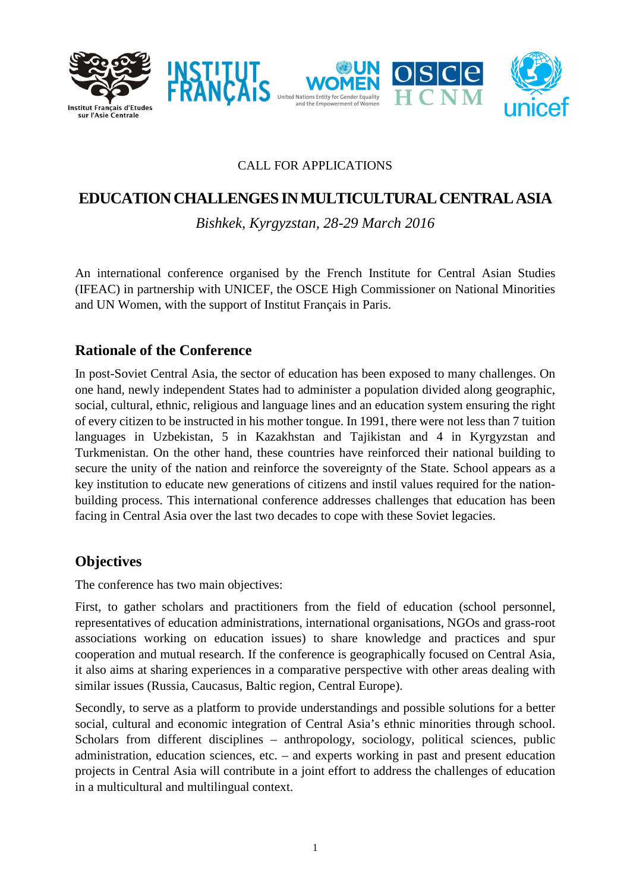

#### CALL FOR APPLICATIONS

# **EDUCATIONCHALLENGES INMULTICULTURALCENTRALASIA**

*Bishkek, Kyrgyzstan, 28-29 March 2016* 

An international conference organised by the French Institute for Central Asian Studies (IFEAC) in partnership with UNICEF, the OSCE High Commissioner on National Minorities and UN Women, with the support of Institut Français in Paris.

### **Rationale of the Conference**

In post-Soviet Central Asia, the sector of education has been exposed to many challenges. On one hand, newly independent States had to administer a population divided along geographic, social, cultural, ethnic, religious and language lines and an education system ensuring the right of every citizen to be instructed in his mother tongue. In 1991, there were not less than 7 tuition languages in Uzbekistan, 5 in Kazakhstan and Tajikistan and 4 in Kyrgyzstan and Turkmenistan. On the other hand, these countries have reinforced their national building to secure the unity of the nation and reinforce the sovereignty of the State. School appears as a key institution to educate new generations of citizens and instil values required for the nationbuilding process. This international conference addresses challenges that education has been facing in Central Asia over the last two decades to cope with these Soviet legacies.

### **Objectives**

The conference has two main objectives:

First, to gather scholars and practitioners from the field of education (school personnel, representatives of education administrations, international organisations, NGOs and grass-root associations working on education issues) to share knowledge and practices and spur cooperation and mutual research. If the conference is geographically focused on Central Asia, it also aims at sharing experiences in a comparative perspective with other areas dealing with similar issues (Russia, Caucasus, Baltic region, Central Europe).

Secondly, to serve as a platform to provide understandings and possible solutions for a better social, cultural and economic integration of Central Asia's ethnic minorities through school. Scholars from different disciplines – anthropology, sociology, political sciences, public administration, education sciences, etc. – and experts working in past and present education projects in Central Asia will contribute in a joint effort to address the challenges of education in a multicultural and multilingual context.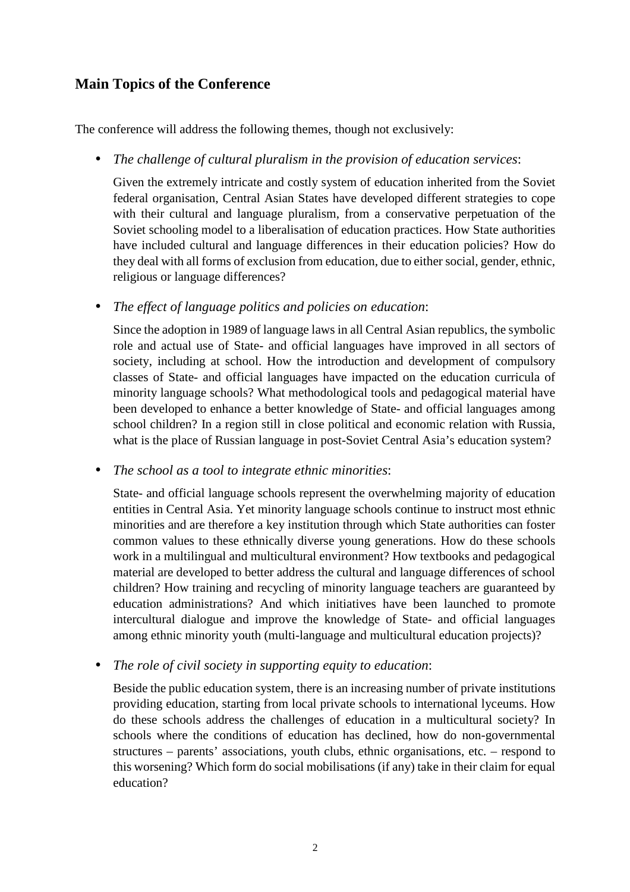### **Main Topics of the Conference**

The conference will address the following themes, though not exclusively:

• *The challenge of cultural pluralism in the provision of education services*:

Given the extremely intricate and costly system of education inherited from the Soviet federal organisation, Central Asian States have developed different strategies to cope with their cultural and language pluralism, from a conservative perpetuation of the Soviet schooling model to a liberalisation of education practices. How State authorities have included cultural and language differences in their education policies? How do they deal with all forms of exclusion from education, due to either social, gender, ethnic, religious or language differences?

• *The effect of language politics and policies on education*:

Since the adoption in 1989 of language laws in all Central Asian republics, the symbolic role and actual use of State- and official languages have improved in all sectors of society, including at school. How the introduction and development of compulsory classes of State- and official languages have impacted on the education curricula of minority language schools? What methodological tools and pedagogical material have been developed to enhance a better knowledge of State- and official languages among school children? In a region still in close political and economic relation with Russia, what is the place of Russian language in post-Soviet Central Asia's education system?

• *The school as a tool to integrate ethnic minorities*:

State- and official language schools represent the overwhelming majority of education entities in Central Asia. Yet minority language schools continue to instruct most ethnic minorities and are therefore a key institution through which State authorities can foster common values to these ethnically diverse young generations. How do these schools work in a multilingual and multicultural environment? How textbooks and pedagogical material are developed to better address the cultural and language differences of school children? How training and recycling of minority language teachers are guaranteed by education administrations? And which initiatives have been launched to promote intercultural dialogue and improve the knowledge of State- and official languages among ethnic minority youth (multi-language and multicultural education projects)?

• *The role of civil society in supporting equity to education*:

Beside the public education system, there is an increasing number of private institutions providing education, starting from local private schools to international lyceums. How do these schools address the challenges of education in a multicultural society? In schools where the conditions of education has declined, how do non-governmental structures – parents' associations, youth clubs, ethnic organisations, etc. – respond to this worsening? Which form do social mobilisations (if any) take in their claim for equal education?